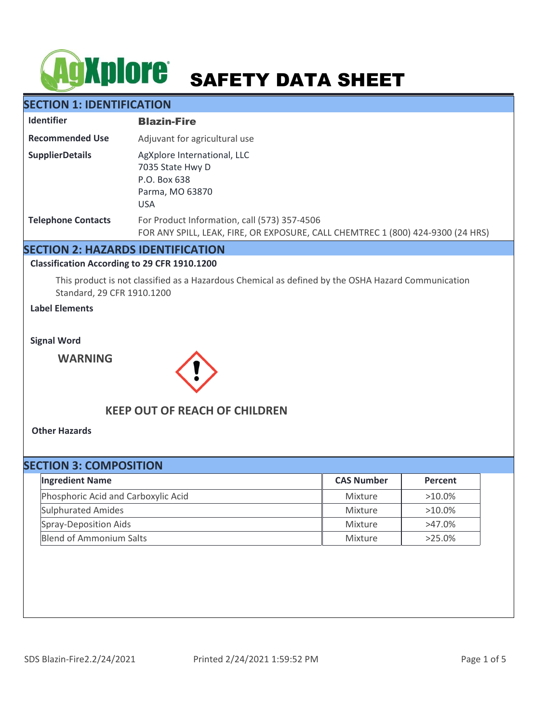# **SAFETY DATA SHEET**

# **SECTION 1: IDENTIFICATION**

| <b>Identifier</b>         | <b>Blazin-Fire</b>                                                                                                              |
|---------------------------|---------------------------------------------------------------------------------------------------------------------------------|
| <b>Recommended Use</b>    | Adjuvant for agricultural use                                                                                                   |
| <b>SupplierDetails</b>    | AgXplore International, LLC<br>7035 State Hwy D<br>P.O. Box 638<br>Parma, MO 63870<br><b>USA</b>                                |
| <b>Telephone Contacts</b> | For Product Information, call (573) 357-4506<br>FOR ANY SPILL, LEAK, FIRE, OR EXPOSURE, CALL CHEMTREC 1 (800) 424-9300 (24 HRS) |

## **SECTION 2: HAZARDS IDENTIFICATION**

## **Classification According to 29 CFR 1910.1200**

This product is not classified as a Hazardous Chemical as defined by the OSHA Hazard Communication Standard, 29 CFR 1910.1200

## **Label Elements**

**Signal Word**

**WARNING**



# **KEEP OUT OF REACH OF CHILDREN**

**Other Hazards**

| <b>SECTION 3: COMPOSITION</b>       |                   |           |  |  |  |
|-------------------------------------|-------------------|-----------|--|--|--|
| <b>Ingredient Name</b>              | <b>CAS Number</b> | Percent   |  |  |  |
| Phosphoric Acid and Carboxylic Acid | Mixture           | $>10.0\%$ |  |  |  |
| <b>Sulphurated Amides</b>           | Mixture           | $>10.0\%$ |  |  |  |
| Spray-Deposition Aids               | Mixture           | $>47.0\%$ |  |  |  |
| <b>Blend of Ammonium Salts</b>      | Mixture           | $>25.0\%$ |  |  |  |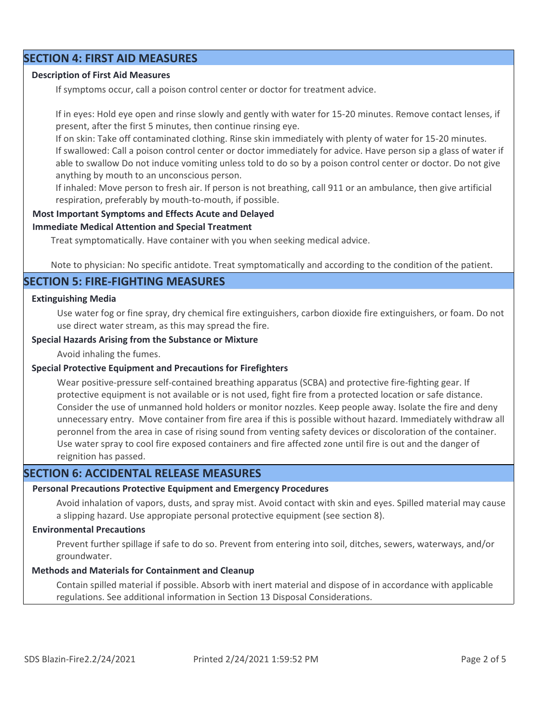## **SECTION 4: FIRST AID MEASURES**

#### **Description of First Aid Measures**

If symptoms occur, call a poison control center or doctor for treatment advice.

If in eyes: Hold eye open and rinse slowly and gently with water for 15-20 minutes. Remove contact lenses, if present, after the first 5 minutes, then continue rinsing eye.

If on skin: Take off contaminated clothing. Rinse skin immediately with plenty of water for 15-20 minutes. If swallowed: Call a poison control center or doctor immediately for advice. Have person sip a glass of water if able to swallow Do not induce vomiting unless told to do so by a poison control center or doctor. Do not give anything by mouth to an unconscious person.

If inhaled: Move person to fresh air. If person is not breathing, call 911 or an ambulance, then give artificial respiration, preferably by mouth-to-mouth, if possible.

#### **Most Important Symptoms and Effects Acute and Delayed**

#### **Immediate Medical Attention and Special Treatment**

Treat symptomatically. Have container with you when seeking medical advice.

Note to physician: No specific antidote. Treat symptomatically and according to the condition of the patient.

## **SECTION 5: FIRE-FIGHTING MEASURES**

#### **Extinguishing Media**

Use water fog or fine spray, dry chemical fire extinguishers, carbon dioxide fire extinguishers, or foam. Do not use direct water stream, as this may spread the fire.

#### **Special Hazards Arising from the Substance or Mixture**

Avoid inhaling the fumes.

#### **Special Protective Equipment and Precautions for Firefighters**

Wear positive-pressure self-contained breathing apparatus (SCBA) and protective fire-fighting gear. If protective equipment is not available or is not used, fight fire from a protected location or safe distance. Consider the use of unmanned hold holders or monitor nozzles. Keep people away. Isolate the fire and deny unnecessary entry. Move container from fire area if this is possible without hazard. Immediately withdraw all peronnel from the area in case of rising sound from venting safety devices or discoloration of the container. Use water spray to cool fire exposed containers and fire affected zone until fire is out and the danger of reignition has passed.

# **SECTION 6: ACCIDENTAL RELEASE MEASURES**

#### **Personal Precautions Protective Equipment and Emergency Procedures**

Avoid inhalation of vapors, dusts, and spray mist. Avoid contact with skin and eyes. Spilled material may cause a slipping hazard. Use appropiate personal protective equipment (see section 8).

#### **Environmental Precautions**

Prevent further spillage if safe to do so. Prevent from entering into soil, ditches, sewers, waterways, and/or groundwater.

## **Methods and Materials for Containment and Cleanup**

Contain spilled material if possible. Absorb with inert material and dispose of in accordance with applicable regulations. See additional information in Section 13 Disposal Considerations.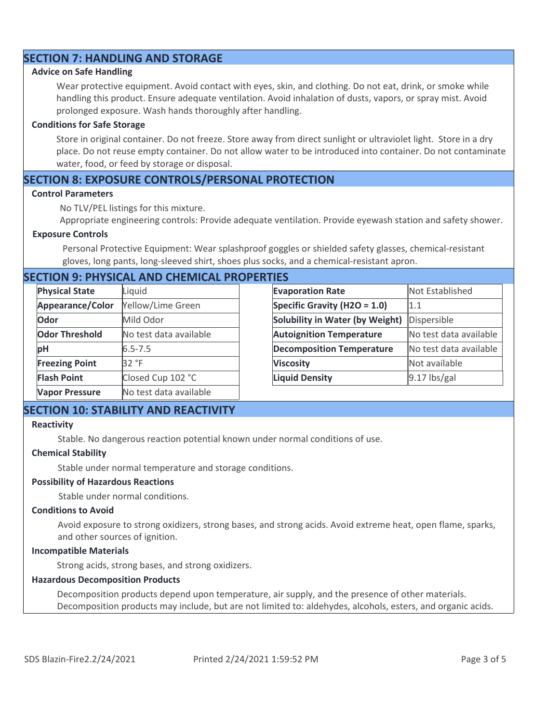# **SECTION 7: HANDLING AND STORAGE**

#### **Advice on Safe Handling**

Wear protective equipment. Avoid contact with eyes, skin, and clothing. Do not eat, drink, or smoke while handling this product. Ensure adequate ventilation. Avoid inhalation of dusts, vapors, or spray mist. Avoid prolonged exposure. Wash hands thoroughly after handling.

#### **Conditions for Safe Storage**

Store in original container. Do not freeze. Store away from direct sunlight or ultraviolet light. Store in a dry place. Do not reuse empty container. Do not allow water to be introduced into container. Do not contaminate water, food, or feed by storage or disposal.

## **SECTION 8: EXPOSURE CONTROLS/PERSONAL PROTECTION**

#### **Control Parameters**

No TLV/PEL listings for this mixture.

Appropriate engineering controls: Provide adequate ventilation. Provide eyewash station and safety shower.

#### **Exposure Controls**

Personal Protective Equipment: Wear splashproof goggles or shielded safety glasses, chemical-resistant gloves, long pants, long-sleeved shirt, shoes plus socks, and a chemical-resistant apron.

# **SECTION 9: PHYSICAL AND CHEMICAL PROPERTIES**

| <b>Physical State</b> | Liquid                 | <b>Evaporation Rate</b>          | Not Established        |
|-----------------------|------------------------|----------------------------------|------------------------|
| Appearance/Color      | Yellow/Lime Green      | Specific Gravity (H2O = 1.0)     | 1.1                    |
| Odor                  | Mild Odor              | Solubility in Water (by Weight)  | Dispersible            |
| <b>Odor Threshold</b> | No test data available | <b>Autoignition Temperature</b>  | No test data available |
| рH                    | $6.5 - 7.5$            | <b>Decomposition Temperature</b> | No test data available |
| <b>Freezing Point</b> | 32 °F                  | <b>Viscosity</b>                 | Not available          |
| <b>Flash Point</b>    | Closed Cup 102 °C      | <b>Liquid Density</b>            | $9.17$ lbs/gal         |
| <b>Vapor Pressure</b> | No test data available |                                  |                        |

# **SECTION 10: STABILITY AND REACTIVITY**

#### **Reactivity**

Stable. No dangerous reaction potential known under normal conditions of use.

#### **Chemical Stability**

Stable under normal temperature and storage conditions.

#### **Possibility of Hazardous Reactions**

Stable under normal conditions.

#### **Conditions to Avoid**

Avoid exposure to strong oxidizers, strong bases, and strong acids. Avoid extreme heat, open flame, sparks, and other sources of ignition.

#### **Incompatible Materials**

Strong acids, strong bases, and strong oxidizers.

#### **Hazardous Decomposition Products**

Decomposition products depend upon temperature, air supply, and the presence of other materials. Decomposition products may include, but are not limited to: aldehydes, alcohols, esters, and organic acids.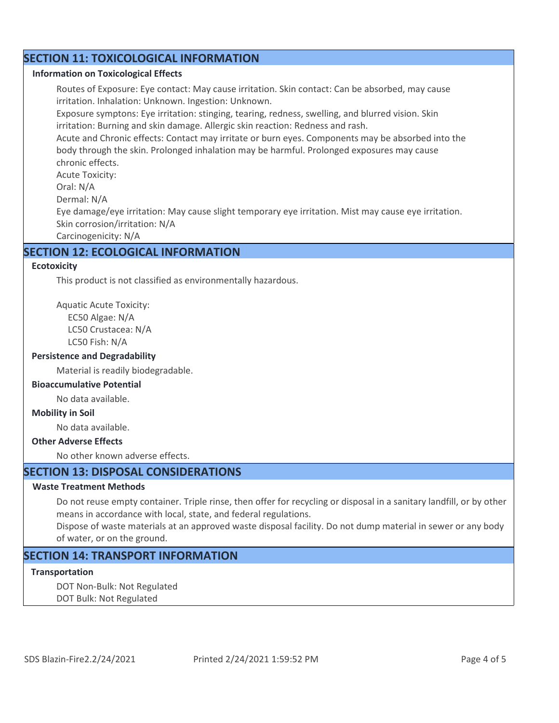# **SECTION 11: TOXICOLOGICAL INFORMATION**

#### **Information on Toxicological Effects**

Routes of Exposure: Eye contact: May cause irritation. Skin contact: Can be absorbed, may cause irritation. Inhalation: Unknown. Ingestion: Unknown.

Exposure symptons: Eye irritation: stinging, tearing, redness, swelling, and blurred vision. Skin irritation: Burning and skin damage. Allergic skin reaction: Redness and rash.

Acute and Chronic effects: Contact may irritate or burn eyes. Components may be absorbed into the body through the skin. Prolonged inhalation may be harmful. Prolonged exposures may cause chronic effects.

Acute Toxicity:

Oral: N/A

Dermal: N/A

Eye damage/eye irritation: May cause slight temporary eye irritation. Mist may cause eye irritation. Skin corrosion/irritation: N/A

Carcinogenicity: N/A

## **SECTION 12: ECOLOGICAL INFORMATION**

#### **Ecotoxicity**

This product is not classified as environmentally hazardous.

Aquatic Acute Toxicity: EC50 Algae: N/A LC50 Crustacea: N/A LC50 Fish: N/A

## **Persistence and Degradability**

Material is readily biodegradable.

#### **Bioaccumulative Potential**

No data available.

#### **Mobility in Soil**

No data available.

## **Other Adverse Effects**

No other known adverse effects.

# **SECTION 13: DISPOSAL CONSIDERATIONS**

## **Waste Treatment Methods**

Do not reuse empty container. Triple rinse, then offer for recycling or disposal in a sanitary landfill, or by other means in accordance with local, state, and federal regulations.

Dispose of waste materials at an approved waste disposal facility. Do not dump material in sewer or any body of water, or on the ground.

# **SECTION 14: TRANSPORT INFORMATION**

## **Transportation**

DOT Non-Bulk: Not Regulated DOT Bulk: Not Regulated